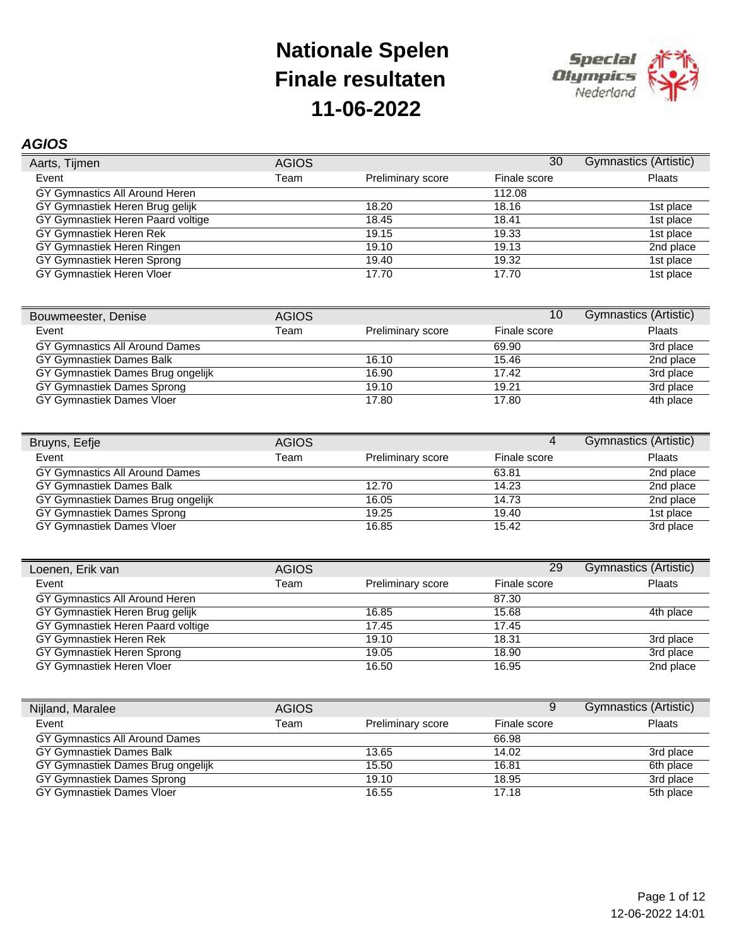

### *AGIOS*

| Aarts, Tijmen                     | <b>AGIOS</b> |                   | 30           | Gymnastics (Artistic) |
|-----------------------------------|--------------|-------------------|--------------|-----------------------|
| Event                             | Team         | Preliminary score | Finale score | <b>Plaats</b>         |
| GY Gymnastics All Around Heren    |              |                   | 112.08       |                       |
| GY Gymnastiek Heren Brug gelijk   |              | 18.20             | 18.16        | 1st place             |
| GY Gymnastiek Heren Paard voltige |              | 18.45             | 18.41        | 1st place             |
| GY Gymnastiek Heren Rek           |              | 19.15             | 19.33        | 1st place             |
| GY Gymnastiek Heren Ringen        |              | 19.10             | 19.13        | 2nd place             |
| GY Gymnastiek Heren Sprong        |              | 19.40             | 19.32        | 1st place             |
| GY Gymnastiek Heren Vloer         |              | 17.70             | 17.70        | 1st place             |

| Bouwmeester, Denise               | <b>AGIOS</b> |                   | 10           | <b>Gymnastics (Artistic)</b> |
|-----------------------------------|--------------|-------------------|--------------|------------------------------|
| Event                             | Team         | Preliminary score | Finale score | Plaats                       |
| GY Gymnastics All Around Dames    |              |                   | 69.90        | 3rd place                    |
| GY Gymnastiek Dames Balk          |              | 16.10             | 15.46        | 2nd place                    |
| GY Gymnastiek Dames Brug ongelijk |              | 16.90             | 17.42        | 3rd place                    |
| GY Gymnastiek Dames Sprong        |              | 19.10             | 19.21        | 3rd place                    |
| GY Gymnastiek Dames Vloer         |              | 17.80             | 17.80        | 4th place                    |

| Bruyns, Eefje                     | <b>AGIOS</b> |                          | 4            | Gymnastics (Artistic) |
|-----------------------------------|--------------|--------------------------|--------------|-----------------------|
| Event                             | Team         | <b>Preliminary score</b> | Finale score | Plaats                |
| GY Gymnastics All Around Dames    |              |                          | 63.81        | 2nd place             |
| GY Gymnastiek Dames Balk          |              | 12.70                    | 14.23        | 2nd place             |
| GY Gymnastiek Dames Brug ongelijk |              | 16.05                    | 14.73        | 2nd place             |
| GY Gymnastiek Dames Sprong        |              | 19.25                    | 19.40        | 1st place             |
| GY Gymnastiek Dames Vloer         |              | 16.85                    | 15.42        | 3rd place             |

| Loenen, Erik van                  | <b>AGIOS</b> |                   | 29           | Gymnastics (Artistic) |
|-----------------------------------|--------------|-------------------|--------------|-----------------------|
| Event                             | Team         | Preliminary score | Finale score | Plaats                |
| GY Gymnastics All Around Heren    |              |                   | 87.30        |                       |
| GY Gymnastiek Heren Brug gelijk   |              | 16.85             | 15.68        | 4th place             |
| GY Gymnastiek Heren Paard voltige |              | 17.45             | 17.45        |                       |
| GY Gymnastiek Heren Rek           |              | 19.10             | 18.31        | 3rd place             |
| GY Gymnastiek Heren Sprong        |              | 19.05             | 18.90        | 3rd place             |
| GY Gymnastiek Heren Vloer         |              | 16.50             | 16.95        | 2nd place             |

| Nijland, Maralee                  | <b>AGIOS</b> |                          | 9            | <b>Gymnastics (Artistic)</b> |
|-----------------------------------|--------------|--------------------------|--------------|------------------------------|
| Event                             | Team         | <b>Preliminary score</b> | Finale score | Plaats                       |
| GY Gymnastics All Around Dames    |              |                          | 66.98        |                              |
| GY Gymnastiek Dames Balk          |              | 13.65                    | 14.02        | 3rd place                    |
| GY Gymnastiek Dames Brug ongelijk |              | 15.50                    | 16.81        | 6th place                    |
| GY Gymnastiek Dames Sprong        |              | 19.10                    | 18.95        | 3rd place                    |
| GY Gymnastiek Dames Vloer         |              | 16.55                    | 17.18        | 5th place                    |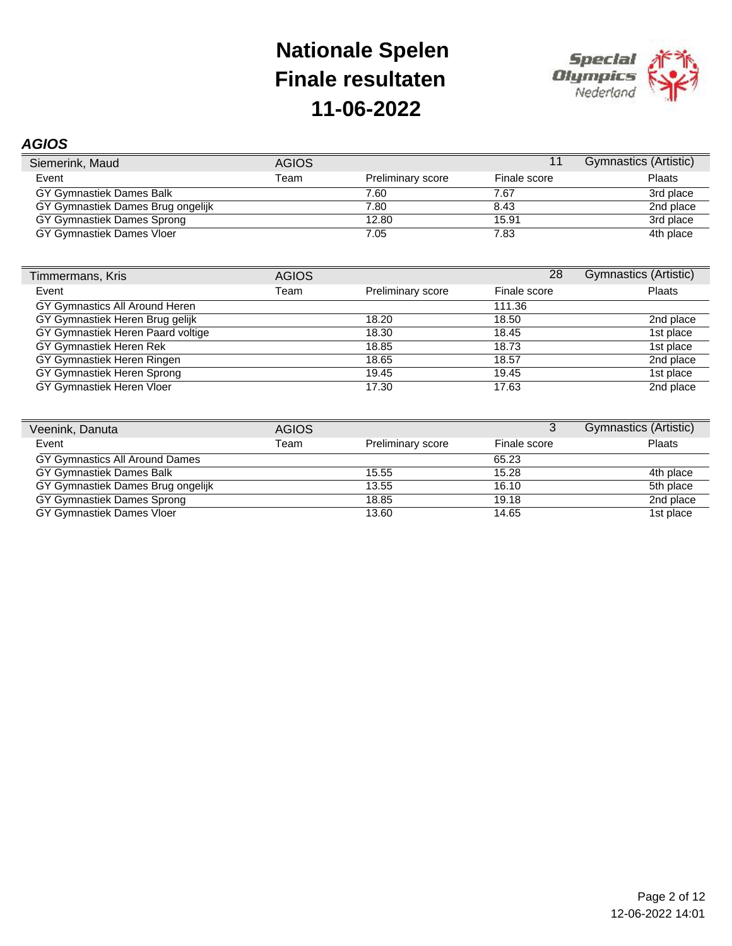

### *AGIOS*

| Siemerink, Maud                   | <b>AGIOS</b> |                          |              | Gymnastics (Artistic) |
|-----------------------------------|--------------|--------------------------|--------------|-----------------------|
| Event                             | Team         | <b>Preliminary score</b> | Finale score | <b>Plaats</b>         |
| GY Gymnastiek Dames Balk          |              | 7.60                     | 7.67         | 3rd place             |
| GY Gymnastiek Dames Brug ongelijk |              | 7.80                     | 8.43         | 2nd place             |
| GY Gymnastiek Dames Sprong        |              | 12.80                    | 15.91        | 3rd place             |
| GY Gymnastiek Dames Vloer         |              | 7.05                     | 7.83         | 4th place             |

| Timmermans, Kris                  | <b>AGIOS</b> |                   | 28           | Gymnastics (Artistic) |
|-----------------------------------|--------------|-------------------|--------------|-----------------------|
| Event                             | Team         | Preliminary score | Finale score | Plaats                |
| GY Gymnastics All Around Heren    |              |                   | 111.36       |                       |
| GY Gymnastiek Heren Brug gelijk   |              | 18.20             | 18.50        | 2nd place             |
| GY Gymnastiek Heren Paard voltige |              | 18.30             | 18.45        | 1st place             |
| GY Gymnastiek Heren Rek           |              | 18.85             | 18.73        | 1st place             |
| GY Gymnastiek Heren Ringen        |              | 18.65             | 18.57        | 2nd place             |
| GY Gymnastiek Heren Sprong        |              | 19.45             | 19.45        | 1st place             |
| GY Gymnastiek Heren Vloer         |              | 17.30             | 17.63        | 2nd place             |

| Veenink, Danuta                   | <b>AGIOS</b> |                          |              | <b>Gymnastics (Artistic)</b> |
|-----------------------------------|--------------|--------------------------|--------------|------------------------------|
| Event                             | Team         | <b>Preliminary score</b> | Finale score | Plaats                       |
| GY Gymnastics All Around Dames    |              |                          | 65.23        |                              |
| GY Gymnastiek Dames Balk          |              | 15.55                    | 15.28        | 4th place                    |
| GY Gymnastiek Dames Brug ongelijk |              | 13.55                    | 16.10        | 5th place                    |
| GY Gymnastiek Dames Sprong        |              | 18.85                    | 19.18        | 2nd place                    |
| GY Gymnastiek Dames Vloer         |              | 13.60                    | 14.65        | 1st place                    |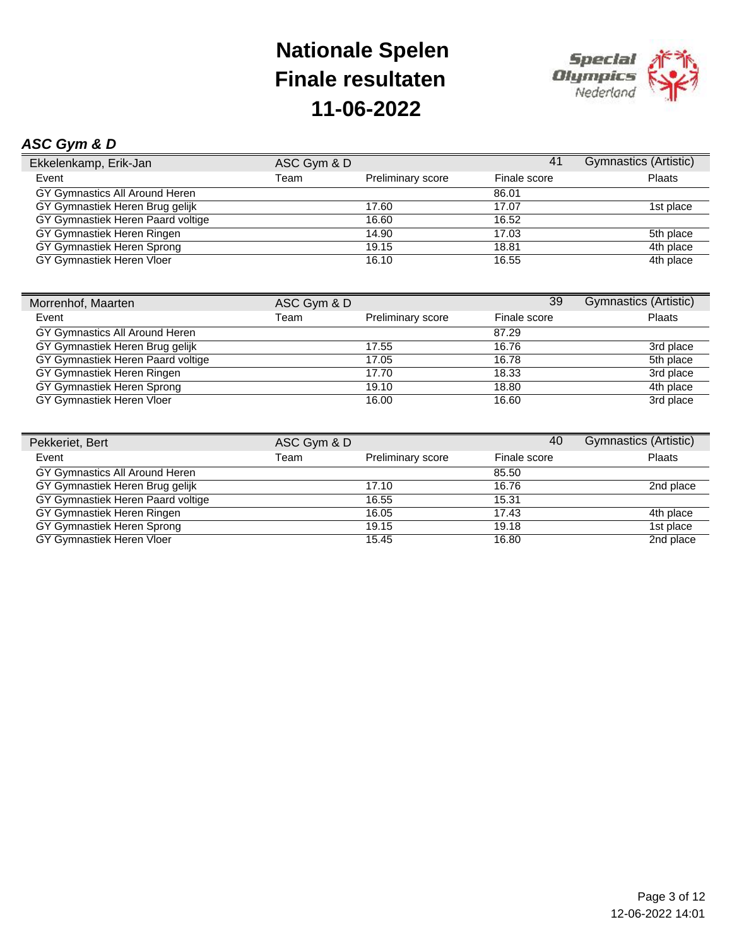

### *ASC Gym & D*

| Ekkelenkamp, Erik-Jan             | ASC Gym & D |                          | 41           | Gymnastics (Artistic) |
|-----------------------------------|-------------|--------------------------|--------------|-----------------------|
| Event                             | Team        | <b>Preliminary score</b> | Finale score | <b>Plaats</b>         |
| GY Gymnastics All Around Heren    |             |                          | 86.01        |                       |
| GY Gymnastiek Heren Brug gelijk   |             | 17.60                    | 17.07        | 1st place             |
| GY Gymnastiek Heren Paard voltige |             | 16.60                    | 16.52        |                       |
| GY Gymnastiek Heren Ringen        |             | 14.90                    | 17.03        | 5th place             |
| GY Gymnastiek Heren Sprong        |             | 19.15                    | 18.81        | 4th place             |
| GY Gymnastiek Heren Vloer         |             | 16.10                    | 16.55        | 4th place             |

| Morrenhof, Maarten                | ASC Gym & D |                          | 39           | Gymnastics (Artistic) |
|-----------------------------------|-------------|--------------------------|--------------|-----------------------|
| Event                             | Team        | <b>Preliminary score</b> | Finale score | Plaats                |
| GY Gymnastics All Around Heren    |             |                          | 87.29        |                       |
| GY Gymnastiek Heren Brug gelijk   |             | 17.55                    | 16.76        | 3rd place             |
| GY Gymnastiek Heren Paard voltige |             | 17.05                    | 16.78        | 5th place             |
| GY Gymnastiek Heren Ringen        |             | 17.70                    | 18.33        | 3rd place             |
| GY Gymnastiek Heren Sprong        |             | 19.10                    | 18.80        | 4th place             |
| GY Gymnastiek Heren Vloer         |             | 16.00                    | 16.60        | 3rd place             |

| Pekkeriet, Bert                   | ASC Gym & D |                          | 40           | Gymnastics (Artistic) |
|-----------------------------------|-------------|--------------------------|--------------|-----------------------|
| Event                             | Team        | <b>Preliminary score</b> | Finale score | <b>Plaats</b>         |
| GY Gymnastics All Around Heren    |             |                          | 85.50        |                       |
| GY Gymnastiek Heren Brug gelijk   |             | 17.10                    | 16.76        | 2nd place             |
| GY Gymnastiek Heren Paard voltige |             | 16.55                    | 15.31        |                       |
| GY Gymnastiek Heren Ringen        |             | 16.05                    | 17.43        | 4th place             |
| GY Gymnastiek Heren Sprong        |             | 19.15                    | 19.18        | 1st place             |
| GY Gymnastiek Heren Vloer         |             | 15.45                    | 16.80        | 2nd place             |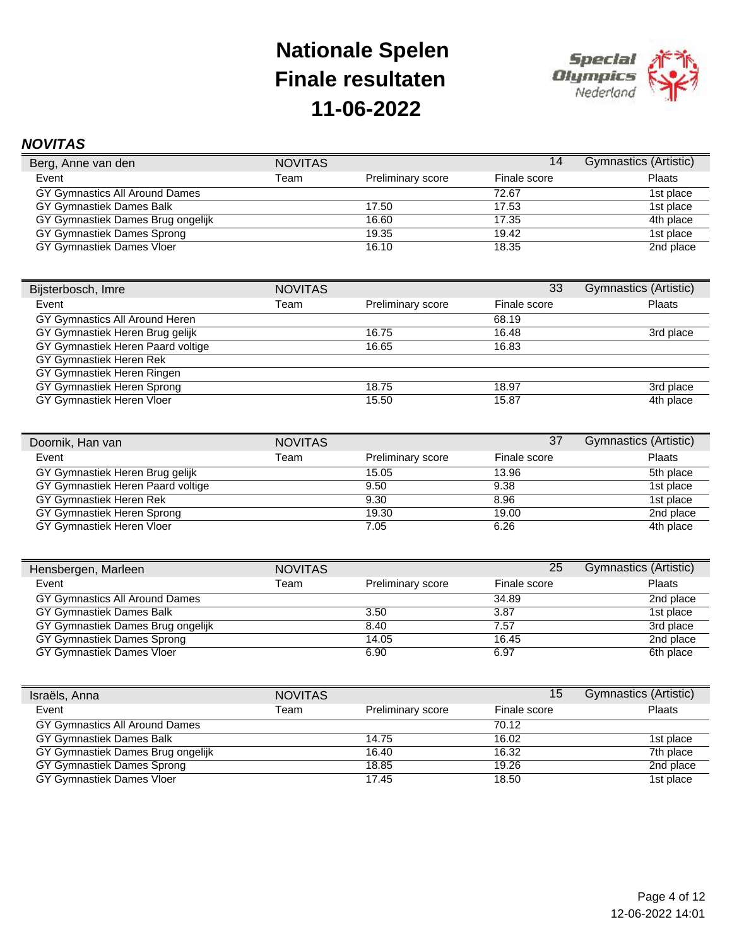

### *NOVITAS*

| Berg, Anne van den                | <b>NOVITAS</b> |                          | 14           | <b>Gymnastics (Artistic)</b> |
|-----------------------------------|----------------|--------------------------|--------------|------------------------------|
| Event                             | Team           | <b>Preliminary score</b> | Finale score | <b>Plaats</b>                |
| GY Gymnastics All Around Dames    |                |                          | 72.67        | 1st place                    |
| GY Gymnastiek Dames Balk          |                | 17.50                    | 17.53        | 1st place                    |
| GY Gymnastiek Dames Brug ongelijk |                | 16.60                    | 17.35        | 4th place                    |
| GY Gymnastiek Dames Sprong        |                | 19.35                    | 19.42        | 1st place                    |
| GY Gymnastiek Dames Vloer         |                | 16.10                    | 18.35        | 2nd place                    |

| Bijsterbosch, Imre                | <b>NOVITAS</b> |                   | 33           | Gymnastics (Artistic) |
|-----------------------------------|----------------|-------------------|--------------|-----------------------|
| Event                             | Team           | Preliminary score | Finale score | Plaats                |
| GY Gymnastics All Around Heren    |                |                   | 68.19        |                       |
| GY Gymnastiek Heren Brug gelijk   |                | 16.75             | 16.48        | 3rd place             |
| GY Gymnastiek Heren Paard voltige |                | 16.65             | 16.83        |                       |
| GY Gymnastiek Heren Rek           |                |                   |              |                       |
| GY Gymnastiek Heren Ringen        |                |                   |              |                       |
| GY Gymnastiek Heren Sprong        |                | 18.75             | 18.97        | 3rd place             |
| GY Gymnastiek Heren Vloer         |                | 15.50             | 15.87        | 4th place             |

| Doornik, Han van                  | <b>NOVITAS</b> |                          | 37           | <b>Gymnastics (Artistic)</b> |
|-----------------------------------|----------------|--------------------------|--------------|------------------------------|
| Event                             | Team           | <b>Preliminary score</b> | Finale score | <b>Plaats</b>                |
| GY Gymnastiek Heren Brug gelijk   |                | 15.05                    | 13.96        | 5th place                    |
| GY Gymnastiek Heren Paard voltige |                | 9.50                     | 9.38         | 1st place                    |
| GY Gymnastiek Heren Rek           |                | 9.30                     | 8.96         | 1st place                    |
| GY Gymnastiek Heren Sprong        |                | 19.30                    | 19.00        | 2nd place                    |
| GY Gymnastiek Heren Vloer         |                | 7.05                     | 6.26         | 4th place                    |

| Hensbergen, Marleen               | <b>NOVITAS</b> |                          | 25           | Gymnastics (Artistic) |
|-----------------------------------|----------------|--------------------------|--------------|-----------------------|
| Event                             | Team           | <b>Preliminary score</b> | Finale score | <b>Plaats</b>         |
| GY Gymnastics All Around Dames    |                |                          | 34.89        | 2nd place             |
| GY Gymnastiek Dames Balk          |                | 3.50                     | 3.87         | 1st place             |
| GY Gymnastiek Dames Brug ongelijk |                | 8.40                     | 7.57         | 3rd place             |
| GY Gymnastiek Dames Sprong        |                | 14.05                    | 16.45        | 2nd place             |
| GY Gymnastiek Dames Vloer         |                | 6.90                     | 6.97         | 6th place             |

| Israëls, Anna                     | <b>NOVITAS</b> |                   | 15           | Gymnastics (Artistic) |
|-----------------------------------|----------------|-------------------|--------------|-----------------------|
| Event                             | Team           | Preliminary score | Finale score | Plaats                |
| GY Gymnastics All Around Dames    |                |                   | 70.12        |                       |
| GY Gymnastiek Dames Balk          |                | 14.75             | 16.02        | 1st place             |
| GY Gymnastiek Dames Brug ongelijk |                | 16.40             | 16.32        | 7th place             |
| GY Gymnastiek Dames Sprong        |                | 18.85             | 19.26        | 2nd place             |
| GY Gymnastiek Dames Vloer         |                | 17.45             | 18.50        | 1st place             |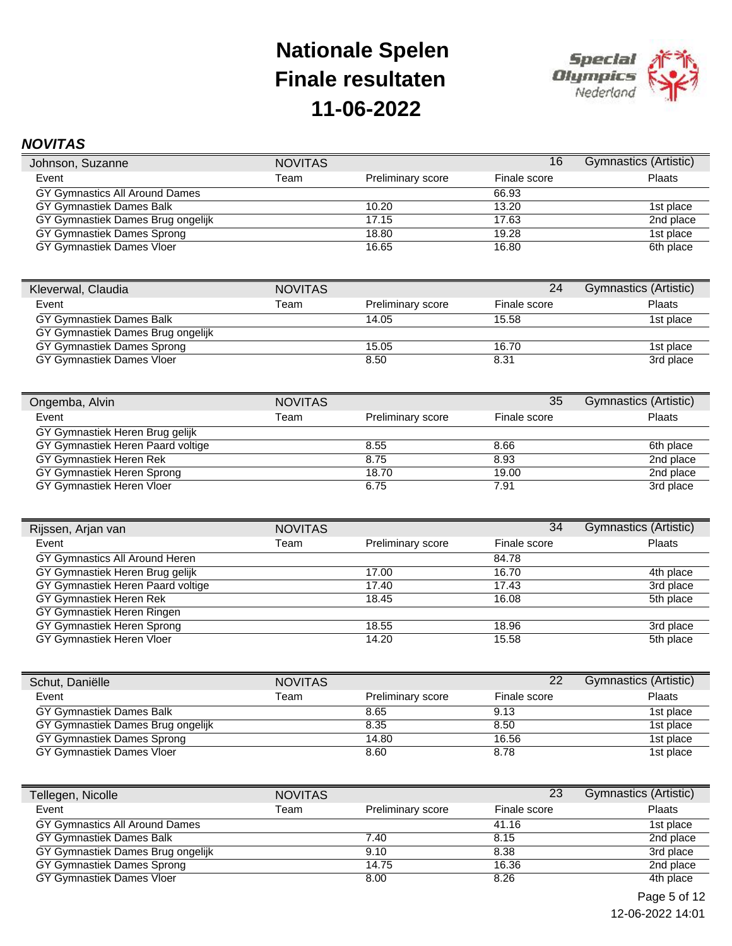

### *NOVITAS*

| Johnson, Suzanne                  | <b>NOVITAS</b> |                   | 16           | Gymnastics (Artistic) |
|-----------------------------------|----------------|-------------------|--------------|-----------------------|
| Event                             | Team           | Preliminary score | Finale score | <b>Plaats</b>         |
| GY Gymnastics All Around Dames    |                |                   | 66.93        |                       |
| GY Gymnastiek Dames Balk          |                | 10.20             | 13.20        | 1st place             |
| GY Gymnastiek Dames Brug ongelijk |                | 17.15             | 17.63        | 2nd place             |
| GY Gymnastiek Dames Sprong        |                | 18.80             | 19.28        | 1st place             |
| GY Gymnastiek Dames Vloer         |                | 16.65             | 16.80        | 6th place             |

| Kleverwal, Claudia                | <b>NOVITAS</b> |                          | 24           | Gymnastics (Artistic) |
|-----------------------------------|----------------|--------------------------|--------------|-----------------------|
| Event                             | Team           | <b>Preliminary score</b> | Finale score | <b>Plaats</b>         |
| GY Gymnastiek Dames Balk          |                | 14.05                    | 15.58        | 1st place             |
| GY Gymnastiek Dames Brug ongelijk |                |                          |              |                       |
| GY Gymnastiek Dames Sprong        |                | 15.05                    | 16.70        | 1st place             |
| GY Gymnastiek Dames Vloer         |                | 8.50                     | 8.31         | 3rd place             |

| Ongemba, Alvin                    | <b>NOVITAS</b> |                   | 35           | Gymnastics (Artistic) |
|-----------------------------------|----------------|-------------------|--------------|-----------------------|
| Event                             | Team           | Preliminary score | Finale score | Plaats                |
| GY Gymnastiek Heren Brug gelijk   |                |                   |              |                       |
| GY Gymnastiek Heren Paard voltige |                | 8.55              | 8.66         | 6th place             |
| GY Gymnastiek Heren Rek           |                | 8.75              | 8.93         | 2nd place             |
| GY Gymnastiek Heren Sprong        |                | 18.70             | 19.00        | 2nd place             |
| GY Gymnastiek Heren Vloer         |                | 6.75              | 7.91         | 3rd place             |

| Rijssen, Arjan van                | <b>NOVITAS</b> |                          | 34           | Gymnastics (Artistic) |
|-----------------------------------|----------------|--------------------------|--------------|-----------------------|
| Event                             | Team           | <b>Preliminary score</b> | Finale score | <b>Plaats</b>         |
| GY Gymnastics All Around Heren    |                |                          | 84.78        |                       |
| GY Gymnastiek Heren Brug gelijk   |                | 17.00                    | 16.70        | 4th place             |
| GY Gymnastiek Heren Paard voltige |                | 17.40                    | 17.43        | 3rd place             |
| GY Gymnastiek Heren Rek           |                | 18.45                    | 16.08        | 5th place             |
| GY Gymnastiek Heren Ringen        |                |                          |              |                       |
| GY Gymnastiek Heren Sprong        |                | 18.55                    | 18.96        | 3rd place             |
| GY Gymnastiek Heren Vloer         |                | 14.20                    | 15.58        | 5th place             |

| Schut, Daniëlle                   | <b>NOVITAS</b> |                          | 22           | Gymnastics (Artistic) |
|-----------------------------------|----------------|--------------------------|--------------|-----------------------|
| Event                             | Team           | <b>Preliminary score</b> | Finale score | Plaats                |
| GY Gymnastiek Dames Balk          |                | 8.65                     | 9.13         | 1st place             |
| GY Gymnastiek Dames Brug ongelijk |                | 8.35                     | 8.50         | 1st place             |
| GY Gymnastiek Dames Sprong        |                | 14.80                    | 16.56        | 1st place             |
| GY Gymnastiek Dames Vloer         |                | 8.60                     | 8.78         | 1st place             |

| Tellegen, Nicolle                 | <b>NOVITAS</b> |                          | 23           | Gymnastics (Artistic) |
|-----------------------------------|----------------|--------------------------|--------------|-----------------------|
| Event                             | Team           | <b>Preliminary score</b> | Finale score | <b>Plaats</b>         |
| GY Gymnastics All Around Dames    |                |                          | 41.16        | 1st place             |
| GY Gymnastiek Dames Balk          |                | 7.40                     | 8.15         | 2nd place             |
| GY Gymnastiek Dames Brug ongelijk |                | 9.10                     | 8.38         | 3rd place             |
| GY Gymnastiek Dames Sprong        |                | 14.75                    | 16.36        | 2nd place             |
| GY Gymnastiek Dames Vloer         |                | 8.00                     | 8.26         | 4th place             |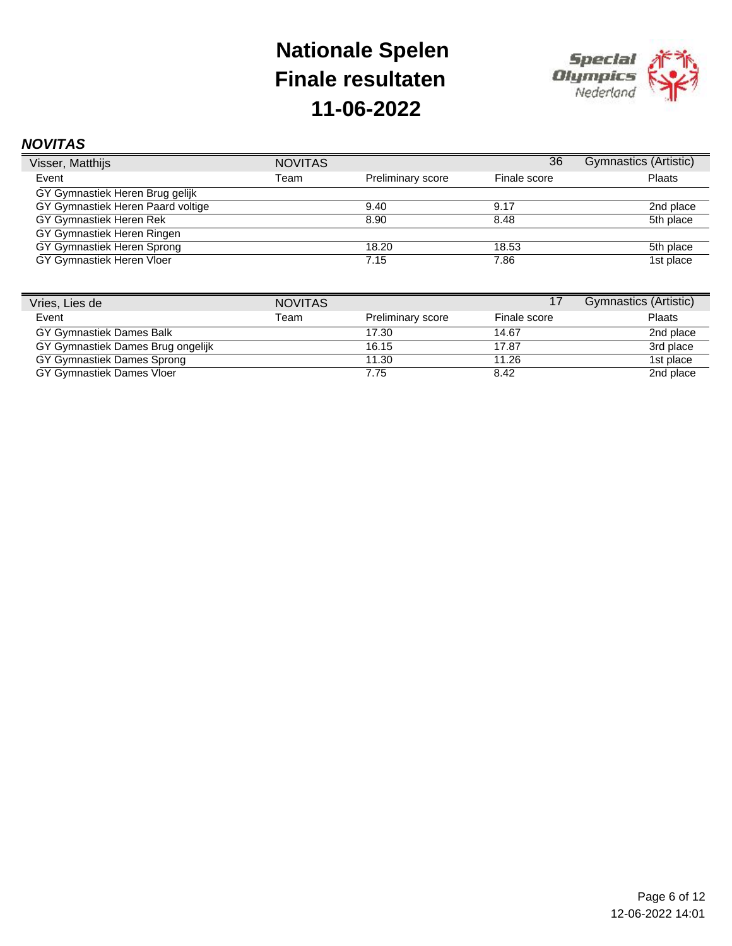

### *NOVITAS*

| Visser, Matthijs                  | <b>NOVITAS</b> |                   | 36           | Gymnastics (Artistic) |
|-----------------------------------|----------------|-------------------|--------------|-----------------------|
| Event                             | Team           | Preliminary score | Finale score | Plaats                |
| GY Gymnastiek Heren Brug gelijk   |                |                   |              |                       |
| GY Gymnastiek Heren Paard voltige |                | 9.40              | 9.17         | 2nd place             |
| GY Gymnastiek Heren Rek           |                | 8.90              | 8.48         | 5th place             |
| GY Gymnastiek Heren Ringen        |                |                   |              |                       |
| GY Gymnastiek Heren Sprong        |                | 18.20             | 18.53        | 5th place             |
| GY Gymnastiek Heren Vloer         |                | 7.15              | 7.86         | 1st place             |

| Vries, Lies de                    | <b>NOVITAS</b> |                   |              | Gymnastics (Artistic) |
|-----------------------------------|----------------|-------------------|--------------|-----------------------|
| Event                             | Team           | Preliminary score | Finale score | Plaats                |
| GY Gymnastiek Dames Balk          |                | 17.30             | 14.67        | 2nd place             |
| GY Gymnastiek Dames Brug ongelijk |                | 16.15             | 17.87        | 3rd place             |
| GY Gymnastiek Dames Sprong        |                | 11.30             | 11.26        | 1st place             |
| GY Gymnastiek Dames Vloer         |                | 7.75              | 8.42         | 2nd place             |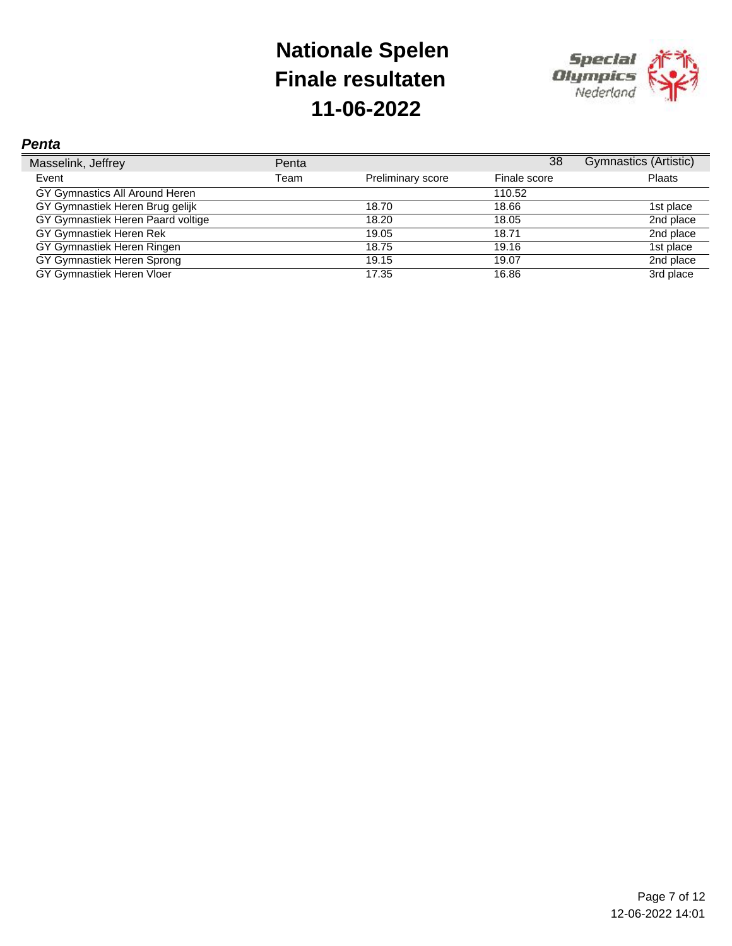

#### *Penta*

| Masselink, Jeffrey                | Penta |                   | 38           | Gymnastics (Artistic) |
|-----------------------------------|-------|-------------------|--------------|-----------------------|
| Event                             | Team  | Preliminary score | Finale score | Plaats                |
| GY Gymnastics All Around Heren    |       |                   | 110.52       |                       |
| GY Gymnastiek Heren Brug gelijk   |       | 18.70             | 18.66        | 1st place             |
| GY Gymnastiek Heren Paard voltige |       | 18.20             | 18.05        | 2nd place             |
| GY Gymnastiek Heren Rek           |       | 19.05             | 18.71        | 2nd place             |
| GY Gymnastiek Heren Ringen        |       | 18.75             | 19.16        | 1st place             |
| GY Gymnastiek Heren Sprong        |       | 19.15             | 19.07        | 2nd place             |
| GY Gymnastiek Heren Vloer         |       | 17.35             | 16.86        | 3rd place             |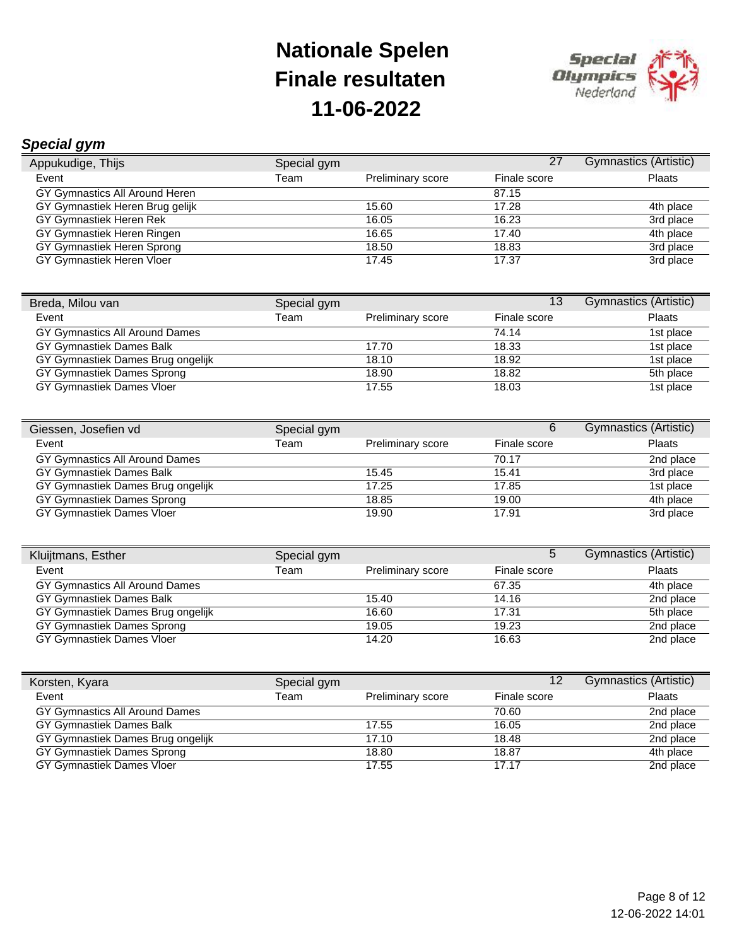

### *Special gym*

| Appukudige, Thijs               | Special gym |                          | 27           | Gymnastics (Artistic) |
|---------------------------------|-------------|--------------------------|--------------|-----------------------|
| Event                           | Team        | <b>Preliminary score</b> | Finale score | <b>Plaats</b>         |
| GY Gymnastics All Around Heren  |             |                          | 87.15        |                       |
| GY Gymnastiek Heren Brug gelijk |             | 15.60                    | 17.28        | 4th place             |
| GY Gymnastiek Heren Rek         |             | 16.05                    | 16.23        | 3rd place             |
| GY Gymnastiek Heren Ringen      |             | 16.65                    | 17.40        | 4th place             |
| GY Gymnastiek Heren Sprong      |             | 18.50                    | 18.83        | 3rd place             |
| GY Gymnastiek Heren Vloer       |             | 17.45                    | 17.37        | 3rd place             |

| Breda, Milou van                  | Special gym |                          | 13           | <b>Gymnastics (Artistic)</b> |
|-----------------------------------|-------------|--------------------------|--------------|------------------------------|
| Event                             | Team        | <b>Preliminary score</b> | Finale score | Plaats                       |
| GY Gymnastics All Around Dames    |             |                          | 74.14        | 1st place                    |
| GY Gymnastiek Dames Balk          |             | 17.70                    | 18.33        | 1st place                    |
| GY Gymnastiek Dames Brug ongelijk |             | 18.10                    | 18.92        | 1st place                    |
| GY Gymnastiek Dames Sprong        |             | 18.90                    | 18.82        | 5th place                    |
| GY Gymnastiek Dames Vloer         |             | 17.55                    | 18.03        | 1st place                    |

| Giessen, Josefien vd              | Special gym |                          | 6            | Gymnastics (Artistic) |
|-----------------------------------|-------------|--------------------------|--------------|-----------------------|
| Event                             | Team        | <b>Preliminary score</b> | Finale score | <b>Plaats</b>         |
| GY Gymnastics All Around Dames    |             |                          | 70.17        | 2nd place             |
| GY Gymnastiek Dames Balk          |             | 15.45                    | 15.41        | 3rd place             |
| GY Gymnastiek Dames Brug ongelijk |             | 17.25                    | 17.85        | 1st place             |
| GY Gymnastiek Dames Sprong        |             | 18.85                    | 19.00        | 4th place             |
| GY Gymnastiek Dames Vloer         |             | 19.90                    | 17.91        | 3rd place             |

| Kluijtmans, Esther                | Special gym |                          | 5            | Gymnastics (Artistic) |
|-----------------------------------|-------------|--------------------------|--------------|-----------------------|
| Event                             | Team        | <b>Preliminary score</b> | Finale score | Plaats                |
| GY Gymnastics All Around Dames    |             |                          | 67.35        | 4th place             |
| GY Gymnastiek Dames Balk          |             | 15.40                    | 14.16        | 2nd place             |
| GY Gymnastiek Dames Brug ongelijk |             | 16.60                    | 17.31        | 5th place             |
| GY Gymnastiek Dames Sprong        |             | 19.05                    | 19.23        | 2nd place             |
| GY Gymnastiek Dames Vloer         |             | 14.20                    | 16.63        | 2nd place             |

| Korsten, Kyara                    | Special gym |                          | 12 <sub>2</sub> | Gymnastics (Artistic) |
|-----------------------------------|-------------|--------------------------|-----------------|-----------------------|
| Event                             | Team        | <b>Preliminary score</b> | Finale score    | <b>Plaats</b>         |
| GY Gymnastics All Around Dames    |             |                          | 70.60           | 2nd place             |
| GY Gymnastiek Dames Balk          |             | 17.55                    | 16.05           | 2nd place             |
| GY Gymnastiek Dames Brug ongelijk |             | 17.10                    | 18.48           | 2nd place             |
| GY Gymnastiek Dames Sprong        |             | 18.80                    | 18.87           | 4th place             |
| GY Gymnastiek Dames Vloer         |             | 17.55                    | 17.17           | 2nd place             |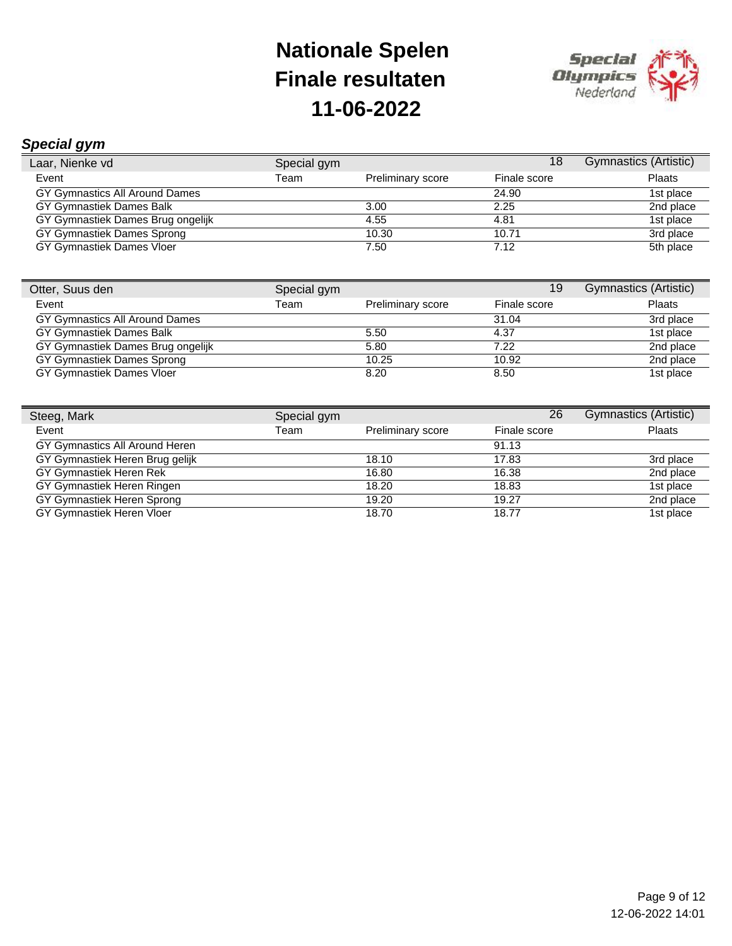

### *Special gym*

| $-$                               |             |                          |              |                       |
|-----------------------------------|-------------|--------------------------|--------------|-----------------------|
| Laar, Nienke vd                   | Special gym |                          | 18           | Gymnastics (Artistic) |
| Event                             | Team        | <b>Preliminary score</b> | Finale score | Plaats                |
| GY Gymnastics All Around Dames    |             |                          | 24.90        | 1st place             |
| GY Gymnastiek Dames Balk          |             | 3.00                     | 2.25         | 2nd place             |
| GY Gymnastiek Dames Brug ongelijk |             | 4.55                     | 4.81         | 1st place             |
| GY Gymnastiek Dames Sprong        |             | 10.30                    | 10.71        | 3rd place             |
| GY Gymnastiek Dames Vloer         |             | 7.50                     | 7.12         | 5th place             |
|                                   |             |                          |              |                       |

| Otter, Suus den                   | Special gym |                          | 19           | <b>Gymnastics (Artistic)</b> |
|-----------------------------------|-------------|--------------------------|--------------|------------------------------|
| Event                             | Team        | <b>Preliminary score</b> | Finale score | <b>Plaats</b>                |
| GY Gymnastics All Around Dames    |             |                          | 31.04        | 3rd place                    |
| GY Gymnastiek Dames Balk          |             | 5.50                     | 4.37         | 1st place                    |
| GY Gymnastiek Dames Brug ongelijk |             | 5.80                     | 7.22         | 2nd place                    |
| GY Gymnastiek Dames Sprong        |             | 10.25                    | 10.92        | 2nd place                    |
| GY Gymnastiek Dames Vloer         |             | 8.20                     | 8.50         | 1st place                    |

| Steeg, Mark                     | Special gym |                   | 26           | Gymnastics (Artistic) |
|---------------------------------|-------------|-------------------|--------------|-----------------------|
| Event                           | Team        | Preliminary score | Finale score | <b>Plaats</b>         |
| GY Gymnastics All Around Heren  |             |                   | 91.13        |                       |
| GY Gymnastiek Heren Brug gelijk |             | 18.10             | 17.83        | 3rd place             |
| GY Gymnastiek Heren Rek         |             | 16.80             | 16.38        | 2nd place             |
| GY Gymnastiek Heren Ringen      |             | 18.20             | 18.83        | 1st place             |
| GY Gymnastiek Heren Sprong      |             | 19.20             | 19.27        | 2nd place             |
| GY Gymnastiek Heren Vloer       |             | 18.70             | 18.77        | 1st place             |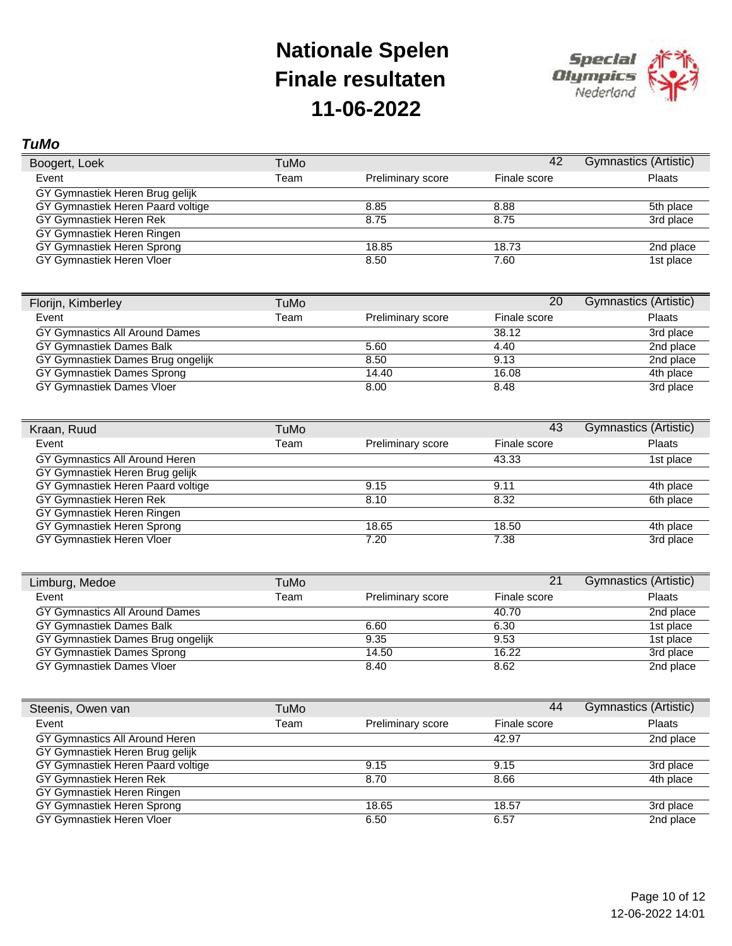

#### *TuMo*

| Boogert, Loek                     | TuMo |                          | 42           | Gymnastics (Artistic) |
|-----------------------------------|------|--------------------------|--------------|-----------------------|
| Event                             | Team | <b>Preliminary score</b> | Finale score | Plaats                |
| GY Gymnastiek Heren Brug gelijk   |      |                          |              |                       |
| GY Gymnastiek Heren Paard voltige |      | 8.85                     | 8.88         | 5th place             |
| GY Gymnastiek Heren Rek           |      | 8.75                     | 8.75         | 3rd place             |
| GY Gymnastiek Heren Ringen        |      |                          |              |                       |
| GY Gymnastiek Heren Sprong        |      | 18.85                    | 18.73        | 2nd place             |
| GY Gymnastiek Heren Vloer         |      | 8.50                     | 7.60         | 1st place             |

| Florijn, Kimberley                | TuMo |                          | 20           | <b>Gymnastics (Artistic)</b> |
|-----------------------------------|------|--------------------------|--------------|------------------------------|
| Event                             | Team | <b>Preliminary score</b> | Finale score | Plaats                       |
| GY Gymnastics All Around Dames    |      |                          | 38.12        | 3rd place                    |
| GY Gymnastiek Dames Balk          |      | 5.60                     | 4.40         | 2nd place                    |
| GY Gymnastiek Dames Brug ongelijk |      | 8.50                     | 9.13         | 2nd place                    |
| GY Gymnastiek Dames Sprong        |      | 14.40                    | 16.08        | 4th place                    |
| GY Gymnastiek Dames Vloer         |      | 8.00                     | 8.48         | 3rd place                    |

| Kraan, Ruud                       | TuMo |                   | 43           | Gymnastics (Artistic) |
|-----------------------------------|------|-------------------|--------------|-----------------------|
| Event                             | Team | Preliminary score | Finale score | <b>Plaats</b>         |
| GY Gymnastics All Around Heren    |      |                   | 43.33        | 1st place             |
| GY Gymnastiek Heren Brug gelijk   |      |                   |              |                       |
| GY Gymnastiek Heren Paard voltige |      | 9.15              | 9.11         | 4th place             |
| GY Gymnastiek Heren Rek           |      | 8.10              | 8.32         | 6th place             |
| GY Gymnastiek Heren Ringen        |      |                   |              |                       |
| GY Gymnastiek Heren Sprong        |      | 18.65             | 18.50        | 4th place             |
| GY Gymnastiek Heren Vloer         |      | 7.20              | 7.38         | 3rd place             |

| Limburg, Medoe                    | TuMo |                          | 21           | Gymnastics (Artistic) |
|-----------------------------------|------|--------------------------|--------------|-----------------------|
| Event                             | Team | <b>Preliminary score</b> | Finale score | <b>Plaats</b>         |
| GY Gymnastics All Around Dames    |      |                          | 40.70        | 2nd place             |
| GY Gymnastiek Dames Balk          |      | 6.60                     | 6.30         | 1st place             |
| GY Gymnastiek Dames Brug ongelijk |      | 9.35                     | 9.53         | 1st place             |
| GY Gymnastiek Dames Sprong        |      | 14.50                    | 16.22        | 3rd place             |
| GY Gymnastiek Dames Vloer         |      | 8.40                     | 8.62         | 2nd place             |

| Steenis, Owen van                 | TuMo |                   | 44           | Gymnastics (Artistic) |
|-----------------------------------|------|-------------------|--------------|-----------------------|
| Event                             | Team | Preliminary score | Finale score | <b>Plaats</b>         |
| GY Gymnastics All Around Heren    |      |                   | 42.97        | 2nd place             |
| GY Gymnastiek Heren Brug gelijk   |      |                   |              |                       |
| GY Gymnastiek Heren Paard voltige |      | 9.15              | 9.15         | 3rd place             |
| GY Gymnastiek Heren Rek           |      | 8.70              | 8.66         | 4th place             |
| GY Gymnastiek Heren Ringen        |      |                   |              |                       |
| GY Gymnastiek Heren Sprong        |      | 18.65             | 18.57        | 3rd place             |
| GY Gymnastiek Heren Vloer         |      | 6.50              | 6.57         | 2nd place             |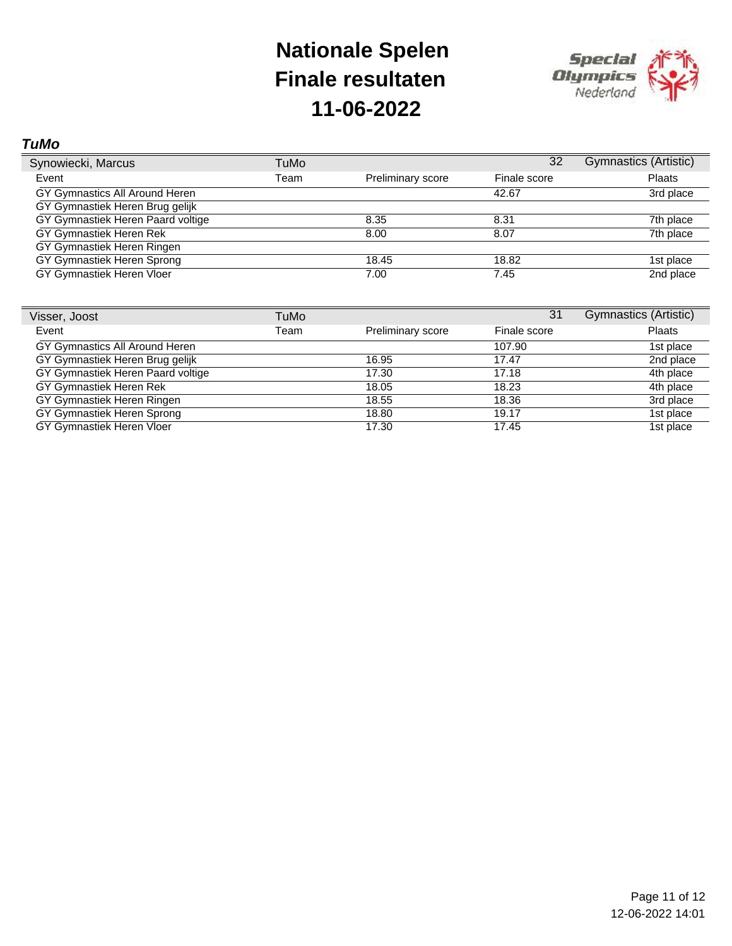

#### *TuMo*

| Synowiecki, Marcus                | TuMo |                   | 32           | Gymnastics (Artistic) |
|-----------------------------------|------|-------------------|--------------|-----------------------|
| Event                             | Team | Preliminary score | Finale score | <b>Plaats</b>         |
| GY Gymnastics All Around Heren    |      |                   | 42.67        | 3rd place             |
| GY Gymnastiek Heren Brug gelijk   |      |                   |              |                       |
| GY Gymnastiek Heren Paard voltige |      | 8.35              | 8.31         | 7th place             |
| GY Gymnastiek Heren Rek           |      | 8.00              | 8.07         | 7th place             |
| GY Gymnastiek Heren Ringen        |      |                   |              |                       |
| GY Gymnastiek Heren Sprong        |      | 18.45             | 18.82        | 1st place             |
| GY Gymnastiek Heren Vloer         |      | 7.00              | 7.45         | 2nd place             |

| Visser, Joost                     | TuMo |                   | 31           | Gymnastics (Artistic) |
|-----------------------------------|------|-------------------|--------------|-----------------------|
| Event                             | Team | Preliminary score | Finale score | Plaats                |
| GY Gymnastics All Around Heren    |      |                   | 107.90       | 1st place             |
| GY Gymnastiek Heren Brug gelijk   |      | 16.95             | 17.47        | 2nd place             |
| GY Gymnastiek Heren Paard voltige |      | 17.30             | 17.18        | 4th place             |
| GY Gymnastiek Heren Rek           |      | 18.05             | 18.23        | 4th place             |
| GY Gymnastiek Heren Ringen        |      | 18.55             | 18.36        | 3rd place             |
| GY Gymnastiek Heren Sprong        |      | 18.80             | 19.17        | 1st place             |
| GY Gymnastiek Heren Vloer         |      | 17.30             | 17.45        | 1st place             |